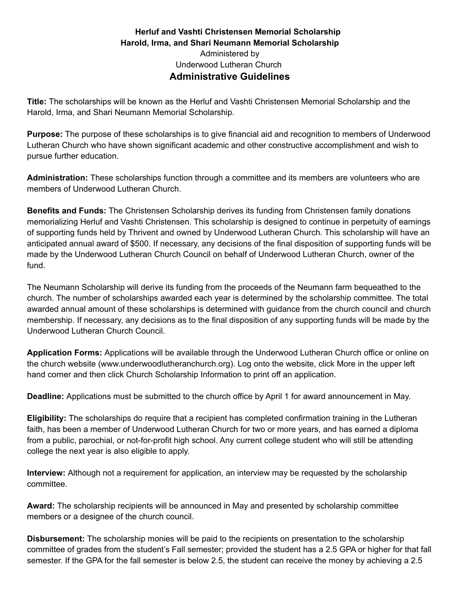## **Herluf and Vashti Christensen Memorial Scholarship Harold, Irma, and Shari Neumann Memorial Scholarship** Administered by Underwood Lutheran Church **Administrative Guidelines**

**Title:** The scholarships will be known as the Herluf and Vashti Christensen Memorial Scholarship and the Harold, Irma, and Shari Neumann Memorial Scholarship.

**Purpose:** The purpose of these scholarships is to give financial aid and recognition to members of Underwood Lutheran Church who have shown significant academic and other constructive accomplishment and wish to pursue further education.

**Administration:** These scholarships function through a committee and its members are volunteers who are members of Underwood Lutheran Church.

**Benefits and Funds:** The Christensen Scholarship derives its funding from Christensen family donations memorializing Herluf and Vashti Christensen. This scholarship is designed to continue in perpetuity of earnings of supporting funds held by Thrivent and owned by Underwood Lutheran Church. This scholarship will have an anticipated annual award of \$500. If necessary, any decisions of the final disposition of supporting funds will be made by the Underwood Lutheran Church Council on behalf of Underwood Lutheran Church, owner of the fund.

The Neumann Scholarship will derive its funding from the proceeds of the Neumann farm bequeathed to the church. The number of scholarships awarded each year is determined by the scholarship committee. The total awarded annual amount of these scholarships is determined with guidance from the church council and church membership. If necessary, any decisions as to the final disposition of any supporting funds will be made by the Underwood Lutheran Church Council.

**Application Forms:** Applications will be available through the Underwood Lutheran Church office or online on the church website (www.underwoodlutheranchurch.org). Log onto the website, click More in the upper left hand corner and then click Church Scholarship Information to print off an application.

**Deadline:** Applications must be submitted to the church office by April 1 for award announcement in May.

**Eligibility:** The scholarships do require that a recipient has completed confirmation training in the Lutheran faith, has been a member of Underwood Lutheran Church for two or more years, and has earned a diploma from a public, parochial, or not-for-profit high school. Any current college student who will still be attending college the next year is also eligible to apply.

**Interview:** Although not a requirement for application, an interview may be requested by the scholarship committee.

**Award:** The scholarship recipients will be announced in May and presented by scholarship committee members or a designee of the church council.

**Disbursement:** The scholarship monies will be paid to the recipients on presentation to the scholarship committee of grades from the student's Fall semester; provided the student has a 2.5 GPA or higher for that fall semester. If the GPA for the fall semester is below 2.5, the student can receive the money by achieving a 2.5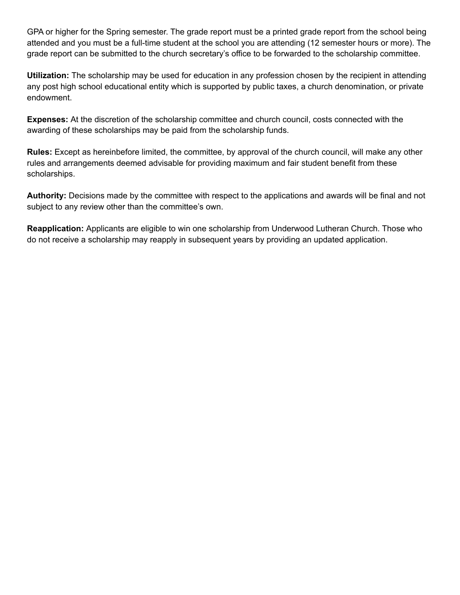GPA or higher for the Spring semester. The grade report must be a printed grade report from the school being attended and you must be a full-time student at the school you are attending (12 semester hours or more). The grade report can be submitted to the church secretary's office to be forwarded to the scholarship committee.

**Utilization:** The scholarship may be used for education in any profession chosen by the recipient in attending any post high school educational entity which is supported by public taxes, a church denomination, or private endowment.

**Expenses:** At the discretion of the scholarship committee and church council, costs connected with the awarding of these scholarships may be paid from the scholarship funds.

**Rules:** Except as hereinbefore limited, the committee, by approval of the church council, will make any other rules and arrangements deemed advisable for providing maximum and fair student benefit from these scholarships.

**Authority:** Decisions made by the committee with respect to the applications and awards will be final and not subject to any review other than the committee's own.

**Reapplication:** Applicants are eligible to win one scholarship from Underwood Lutheran Church. Those who do not receive a scholarship may reapply in subsequent years by providing an updated application.